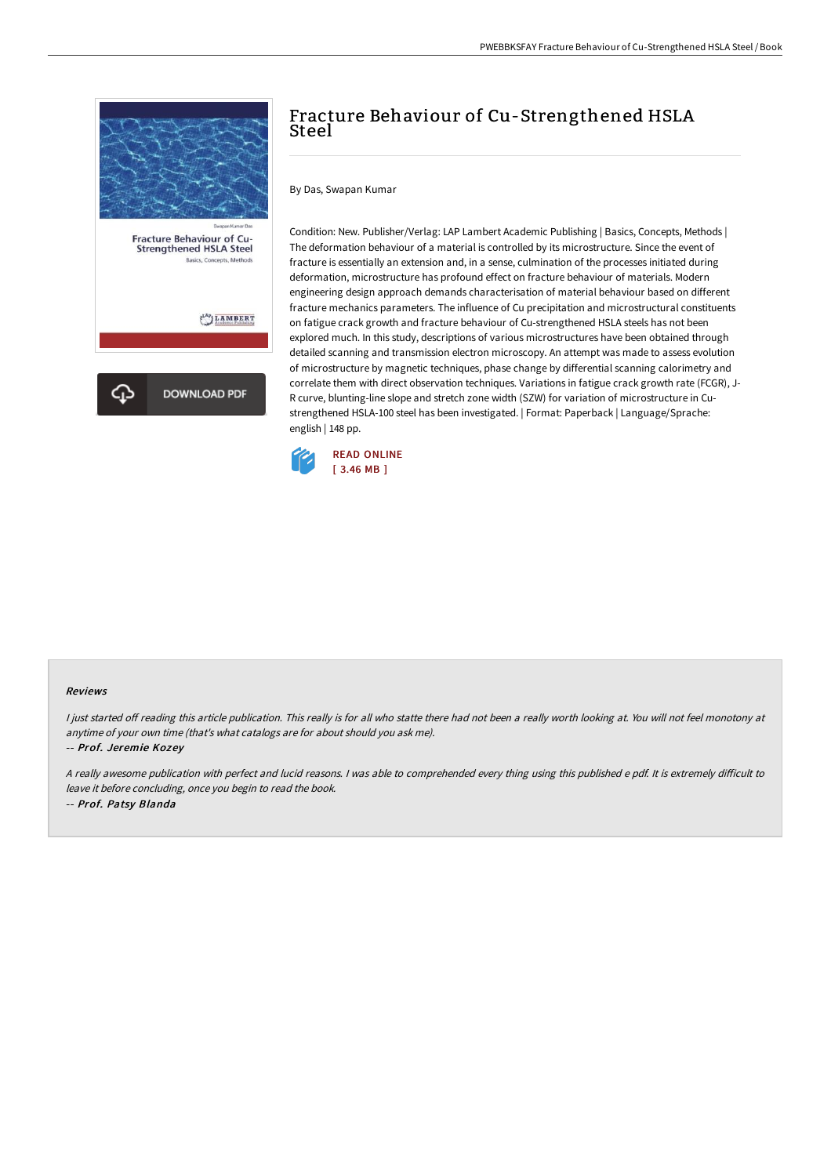

## Fracture Behaviour of Cu-Strengthened HSLA Steel

By Das, Swapan Kumar

Condition: New. Publisher/Verlag: LAP Lambert Academic Publishing | Basics, Concepts, Methods | The deformation behaviour of a material is controlled by its microstructure. Since the event of fracture is essentially an extension and, in a sense, culmination of the processes initiated during deformation, microstructure has profound effect on fracture behaviour of materials. Modern engineering design approach demands characterisation of material behaviour based on different fracture mechanics parameters. The influence of Cu precipitation and microstructural constituents on fatigue crack growth and fracture behaviour of Cu-strengthened HSLA steels has not been explored much. In this study, descriptions of various microstructures have been obtained through detailed scanning and transmission electron microscopy. An attempt was made to assess evolution of microstructure by magnetic techniques, phase change by differential scanning calorimetry and correlate them with direct observation techniques. Variations in fatigue crack growth rate (FCGR), J-R curve, blunting-line slope and stretch zone width (SZW) for variation of microstructure in Custrengthened HSLA-100 steel has been investigated. | Format: Paperback | Language/Sprache: english | 148 pp.



## Reviews

I just started off reading this article publication. This really is for all who statte there had not been a really worth looking at. You will not feel monotony at anytime of your own time (that's what catalogs are for about should you ask me).

-- Prof. Jeremie Kozey

A really awesome publication with perfect and lucid reasons. I was able to comprehended every thing using this published e pdf. It is extremely difficult to leave it before concluding, once you begin to read the book. -- Prof. Patsy Blanda